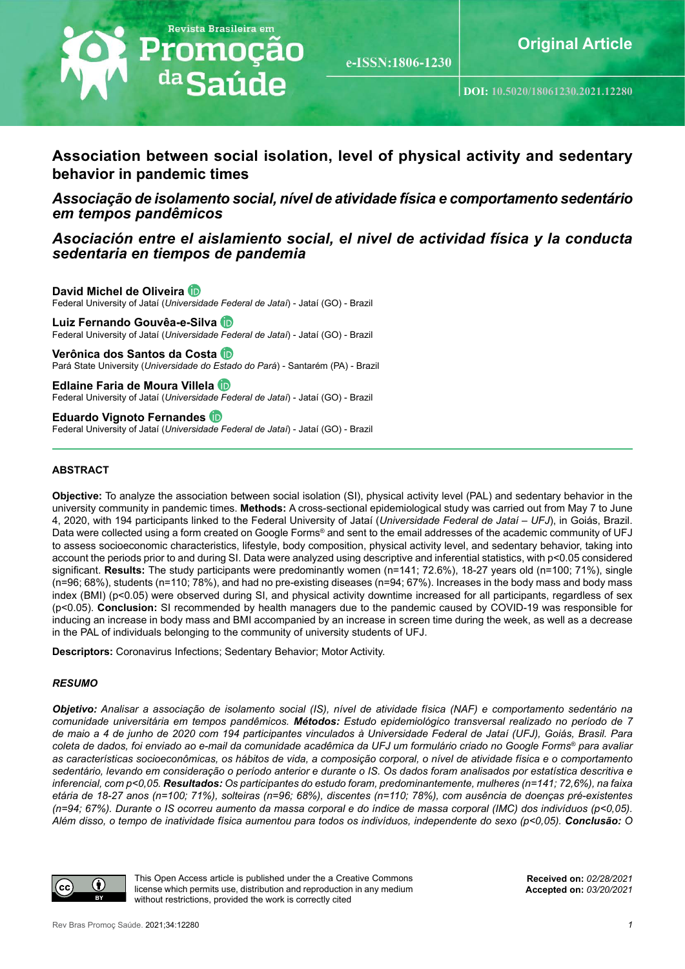

e-ISSN:1806-1230

# **Association between social isolation, level of physical activity and sedentary behavior in pandemic times**

*Associação de isolamento social, nível de atividade física e comportamento sedentário em tempos pandêmicos*

*Asociación entre el aislamiento social, el nivel de actividad física y la conducta sedentaria en tiempos de pandemia*

**David Michel de Oliveira** Federal University of Jataí (*Universidade Federal de Jataí*) - Jataí (GO) - Brazil

**Luiz Fernando Gouvêa-e-Silva** Federal University of Jataí (*Universidade Federal de Jataí*) - Jataí (GO) - Brazil

**Verônica dos Santos da Costa** Pará State University (*Universidade do Estado do Pará*) - Santarém (PA) - Brazil

**Edlaine Faria de Moura Villela** Federal University of Jataí (*Universidade Federal de Jataí*) - Jataí (GO) - Brazil

**Eduardo Vignoto Fernandes** Federal University of Jataí (*Universidade Federal de Jataí*) - Jataí (GO) - Brazil

#### **ABSTRACT**

**Objective:** To analyze the association between social isolation (SI), physical activity level (PAL) and sedentary behavior in the university community in pandemic times. **Methods:** A cross-sectional epidemiological study was carried out from May 7 to June 4, 2020, with 194 participants linked to the Federal University of Jataí (*Universidade Federal de Jataí – UFJ*), in Goiás, Brazil. Data were collected using a form created on Google Forms® and sent to the email addresses of the academic community of UFJ to assess socioeconomic characteristics, lifestyle, body composition, physical activity level, and sedentary behavior, taking into account the periods prior to and during SI. Data were analyzed using descriptive and inferential statistics, with p<0.05 considered significant. **Results:** The study participants were predominantly women (n=141; 72.6%), 18-27 years old (n=100; 71%), single (n=96; 68%), students (n=110; 78%), and had no pre-existing diseases (n=94; 67%). Increases in the body mass and body mass index (BMI) (p<0.05) were observed during SI, and physical activity downtime increased for all participants, regardless of sex (p<0.05). **Conclusion:** SI recommended by health managers due to the pandemic caused by COVID-19 was responsible for inducing an increase in body mass and BMI accompanied by an increase in screen time during the week, as well as a decrease in the PAL of individuals belonging to the community of university students of UFJ.

**Descriptors:** Coronavirus Infections; Sedentary Behavior; Motor Activity.

#### *RESUMO*

*Objetivo: Analisar a associação de isolamento social (IS), nível de atividade física (NAF) e comportamento sedentário na comunidade universitária em tempos pandêmicos. Métodos: Estudo epidemiológico transversal realizado no período de 7 de maio a 4 de junho de 2020 com 194 participantes vinculados à Universidade Federal de Jataí (UFJ), Goiás, Brasil. Para coleta de dados, foi enviado ao e-mail da comunidade acadêmica da UFJ um formulário criado no Google Forms® para avaliar as características socioeconômicas, os hábitos de vida, a composição corporal, o nível de atividade física e o comportamento sedentário, levando em consideração o período anterior e durante o IS. Os dados foram analisados por estatística descritiva e inferencial, com p<0,05. Resultados: Os participantes do estudo foram, predominantemente, mulheres (n=141; 72,6%), na faixa etária de 18-27 anos (n=100; 71%), solteiras (n=96; 68%), discentes (n=110; 78%), com ausência de doenças pré-existentes (n=94; 67%). Durante o IS ocorreu aumento da massa corporal e do índice de massa corporal (IMC) dos indivíduos (p<0,05). Além disso, o tempo de inatividade física aumentou para todos os indivíduos, independente do sexo (p<0,05). Conclusão: O* 



This Open Access article is published under the a Creative Commons license which permits use, distribution and reproduction in any medium without restrictions, provided the work is correctly cited

**Received on:** *02/28/2021* **Accepted on:** *03/20/2021*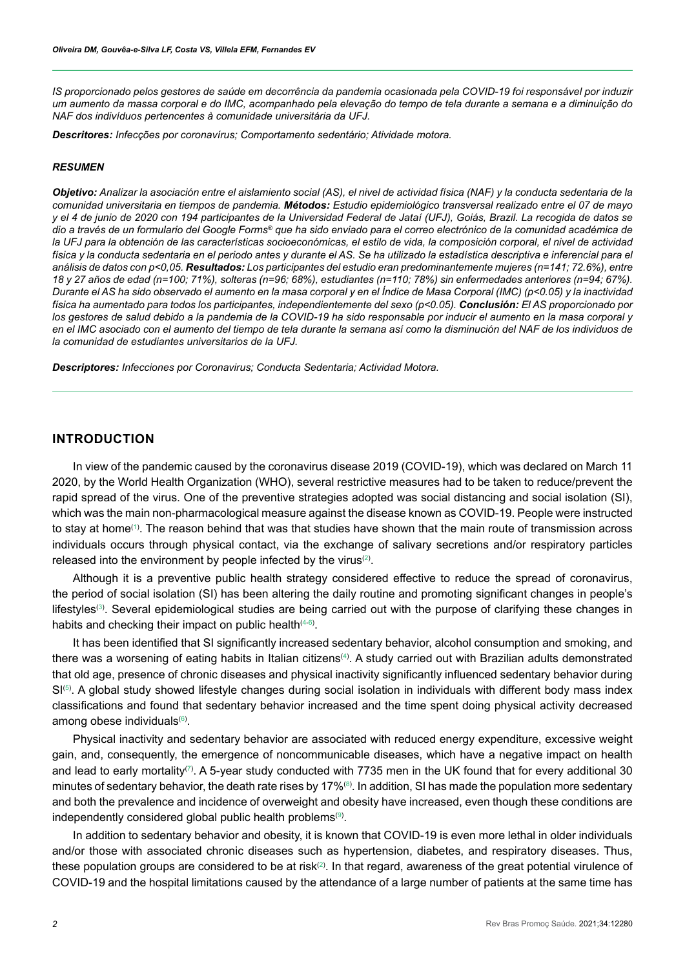*IS proporcionado pelos gestores de saúde em decorrência da pandemia ocasionada pela COVID-19 foi responsável por induzir um aumento da massa corporal e do IMC, acompanhado pela elevação do tempo de tela durante a semana e a diminuição do NAF dos indivíduos pertencentes à comunidade universitária da UFJ.*

*Descritores: Infecções por coronavírus; Comportamento sedentário; Atividade motora.*

#### *RESUMEN*

*Objetivo: Analizar la asociación entre el aislamiento social (AS), el nivel de actividad física (NAF) y la conducta sedentaria de la comunidad universitaria en tiempos de pandemia. Métodos: Estudio epidemiológico transversal realizado entre el 07 de mayo y el 4 de junio de 2020 con 194 participantes de la Universidad Federal de Jataí (UFJ), Goiás, Brazil. La recogida de datos se dio a través de un formulario del Google Forms® que ha sido enviado para el correo electrónico de la comunidad académica de la UFJ para la obtención de las características socioeconómicas, el estilo de vida, la composición corporal, el nivel de actividad*  física y la conducta sedentaria en el periodo antes y durante el AS. Se ha utilizado la estadística descriptiva e inferencial para el *análisis de datos con p<0,05. Resultados: Los participantes del estudio eran predominantemente mujeres (n=141; 72.6%), entre 18 y 27 años de edad (n=100; 71%), solteras (n=96; 68%), estudiantes (n=110; 78%) sin enfermedades anteriores (n=94; 67%). Durante el AS ha sido observado el aumento en la masa corporal y en el Índice de Masa Corporal (IMC) (p<0.05) y la inactividad física ha aumentado para todos los participantes, independientemente del sexo (p<0.05). Conclusión: El AS proporcionado por*  los gestores de salud debido a la pandemia de la COVID-19 ha sido responsable por inducir el aumento en la masa corporal y *en el IMC asociado con el aumento del tiempo de tela durante la semana así como la disminución del NAF de los individuos de la comunidad de estudiantes universitarios de la UFJ.*

*Descriptores: Infecciones por Coronavirus; Conducta Sedentaria; Actividad Motora.*

# **INTRODUCTION**

In view of the pandemic caused by the coronavirus disease 2019 (COVID-19), which was declared on March 11 2020, by the World Health Organization (WHO), several restrictive measures had to be taken to reduce/prevent the rapid spread of the virus. One of the preventive strategies adopted was social distancing and social isolation (SI), which was the main non-pharmacological measure against the disease known as COVID-19. People were instructed to stay at home⑴. The reason behind that was that studies have shown that the main route of transmission across individuals occurs through physical contact, via the exchange of salivary secretions and/or respiratory particles released into the environment by people infected by the virus ${}^{(2)}$  ${}^{(2)}$  ${}^{(2)}$ .

Although it is a preventive public health strategy considered effective to reduce the spread of coronavirus, the period of social isolation (SI) has been altering the daily routine and promoting significant changes in people's lifestyles. Several epidemiological studies are being carried out with the purpose of clarifying these changes in habits and checking their impact on public health $^{(4\text{-}6)}.$  $^{(4\text{-}6)}.$  $^{(4\text{-}6)}.$ 

It has been identified that SI significantly increased sedentary behavior, alcohol consumption and smoking, and there was a worsening of eating habits in Italian citizens<sup>[\(4](#page-8-3))</sup>. A study carried out with Brazilian adults demonstrated that old age, presence of chronic diseases and physical inactivity significantly influenced sedentary behavior during  $SI^{(5)}$  $SI^{(5)}$  $SI^{(5)}$ . A global study showed lifestyle changes during social isolation in individuals with different body mass index classifications and found that sedentary behavior increased and the time spent doing physical activity decreased among obese individuals ${}^{(6)}.$  ${}^{(6)}.$  ${}^{(6)}.$ 

Physical inactivity and sedentary behavior are associated with reduced energy expenditure, excessive weight gain, and, consequently, the emergence of noncommunicable diseases, which have a negative impact on health and lead to early mortality<sup>([7](#page-8-6))</sup>. A 5-year study conducted with 7735 men in the UK found that for every additional 30 minutes of sedentary behavior, the death rate rises by 17% $^{(8)}$  $^{(8)}$  $^{(8)}$ . In addition, SI has made the population more sedentary and both the prevalence and incidence of overweight and obesity have increased, even though these conditions are independently considered global public health problems $^{\text{\tiny{(9)}}}.$  $^{\text{\tiny{(9)}}}.$  $^{\text{\tiny{(9)}}}.$ 

In addition to sedentary behavior and obesity, it is known that COVID-19 is even more lethal in older individuals and/or those with associated chronic diseases such as hypertension, diabetes, and respiratory diseases. Thus, these population groups are considered to be at risk $^{(2)}$  $^{(2)}$  $^{(2)}$ . In that regard, awareness of the great potential virulence of COVID-19 and the hospital limitations caused by the attendance of a large number of patients at the same time has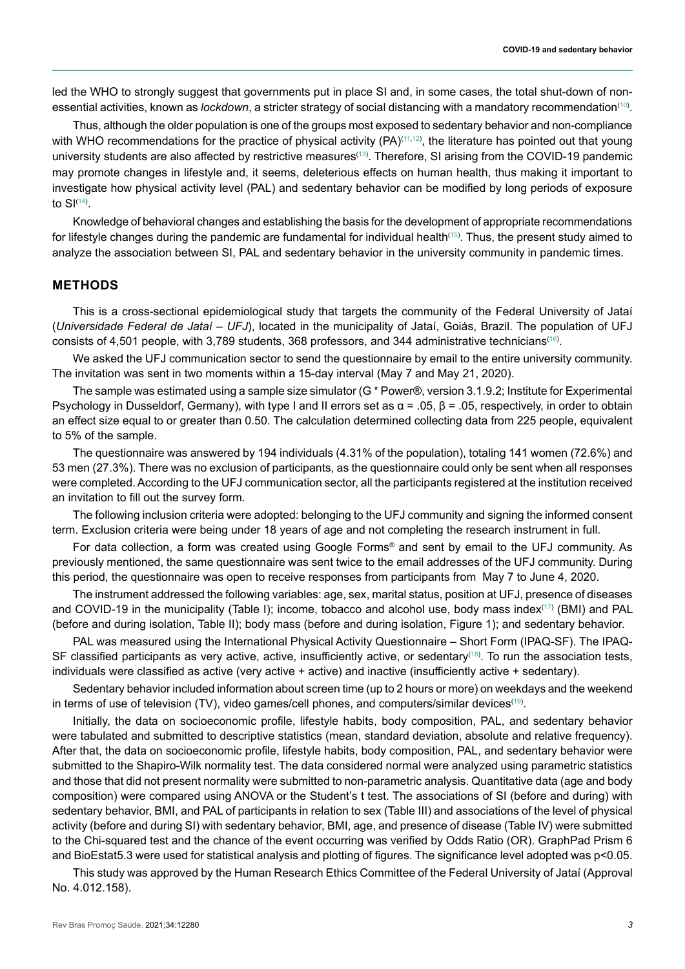led the WHO to strongly suggest that governments put in place SI and, in some cases, the total shut-down of nonessential activities, known as *lockdown*, a stricter strategy of social distancing with a mandatory recommendation<sup>([10](#page-8-9))</sup>.

Thus, although the older population is one of the groups most exposed to sedentary behavior and non-compliance with WHO recommendations for the practice of physical activity (PA) $^{(11,12)}$  $^{(11,12)}$  $^{(11,12)}$  $^{(11,12)}$ , the literature has pointed out that young university students are also affected by restrictive measures<sup>([13](#page-9-1))</sup>. Therefore, SI arising from the COVID-19 pandemic may promote changes in lifestyle and, it seems, deleterious effects on human health, thus making it important to investigate how physical activity level (PAL) and sedentary behavior can be modified by long periods of exposure to SI $(14)$  $(14)$  $(14)$ .

Knowledge of behavioral changes and establishing the basis for the development of appropriate recommendations for lifestyle changes during the pandemic are fundamental for individual health $^{\rm (15)}$  $^{\rm (15)}$  $^{\rm (15)}$ . Thus, the present study aimed to analyze the association between SI, PAL and sedentary behavior in the university community in pandemic times.

# **METHODS**

This is a cross-sectional epidemiological study that targets the community of the Federal University of Jataí (*Universidade Federal de Jataí – UFJ*), located in the municipality of Jataí, Goiás, Brazil. The population of UFJ consists of 4,501 people, with 3,789 students, 368 professors, and 344 administrative technicians $^{(16)}$  $^{(16)}$  $^{(16)}$ .

We asked the UFJ communication sector to send the questionnaire by email to the entire university community. The invitation was sent in two moments within a 15-day interval (May 7 and May 21, 2020).

The sample was estimated using a sample size simulator (G \* Power®, version 3.1.9.2; Institute for Experimental Psychology in Dusseldorf, Germany), with type I and II errors set as  $\alpha$  = .05,  $\beta$  = .05, respectively, in order to obtain an effect size equal to or greater than 0.50. The calculation determined collecting data from 225 people, equivalent to 5% of the sample.

The questionnaire was answered by 194 individuals (4.31% of the population), totaling 141 women (72.6%) and 53 men (27.3%). There was no exclusion of participants, as the questionnaire could only be sent when all responses were completed. According to the UFJ communication sector, all the participants registered at the institution received an invitation to fill out the survey form.

The following inclusion criteria were adopted: belonging to the UFJ community and signing the informed consent term. Exclusion criteria were being under 18 years of age and not completing the research instrument in full.

For data collection, a form was created using Google Forms*®* and sent by email to the UFJ community. As previously mentioned, the same questionnaire was sent twice to the email addresses of the UFJ community. During this period, the questionnaire was open to receive responses from participants from May 7 to June 4, 2020.

The instrument addressed the following variables: age, sex, marital status, position at UFJ, presence of diseases and COVID-19 in the municipality (Table I); income, tobacco and alcohol use, body mass index<sup>([17](#page-9-5))</sup> (BMI) and PAL (before and during isolation, Table II); body mass (before and during isolation, Figure 1); and sedentary behavior.

PAL was measured using the International Physical Activity Questionnaire – Short Form (IPAQ-SF). The IPAQ-SF classified participants as very active, active, insufficiently active, or sedentary[\(18\)](#page-9-6) . To run the association tests, individuals were classified as active (very active + active) and inactive (insufficiently active + sedentary).

Sedentary behavior included information about screen time (up to 2 hours or more) on weekdays and the weekend in terms of use of television (TV), video games/cell phones, and computers/similar devices $^{(\text{\tiny{19}})}$ .

Initially, the data on socioeconomic profile, lifestyle habits, body composition, PAL, and sedentary behavior were tabulated and submitted to descriptive statistics (mean, standard deviation, absolute and relative frequency). After that, the data on socioeconomic profile, lifestyle habits, body composition, PAL, and sedentary behavior were submitted to the Shapiro-Wilk normality test. The data considered normal were analyzed using parametric statistics and those that did not present normality were submitted to non-parametric analysis. Quantitative data (age and body composition) were compared using ANOVA or the Student's t test. The associations of SI (before and during) with sedentary behavior, BMI, and PAL of participants in relation to sex (Table III) and associations of the level of physical activity (before and during SI) with sedentary behavior, BMI, age, and presence of disease (Table IV) were submitted to the Chi-squared test and the chance of the event occurring was verified by Odds Ratio (OR). GraphPad Prism 6 and BioEstat5.3 were used for statistical analysis and plotting of figures. The significance level adopted was p<0.05.

This study was approved by the Human Research Ethics Committee of the Federal University of Jataí (Approval No. 4.012.158).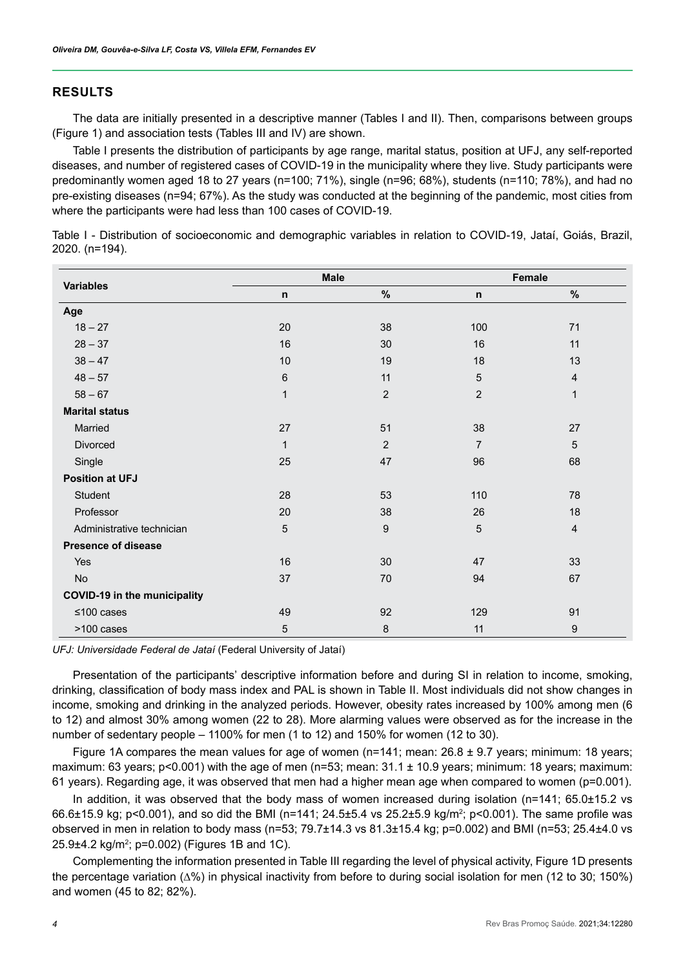# **RESULTS**

The data are initially presented in a descriptive manner (Tables I and II). Then, comparisons between groups (Figure 1) and association tests (Tables III and IV) are shown.

Table I presents the distribution of participants by age range, marital status, position at UFJ, any self-reported diseases, and number of registered cases of COVID-19 in the municipality where they live. Study participants were predominantly women aged 18 to 27 years (n=100; 71%), single (n=96; 68%), students (n=110; 78%), and had no pre-existing diseases (n=94; 67%). As the study was conducted at the beginning of the pandemic, most cities from where the participants were had less than 100 cases of COVID-19.

Table I - Distribution of socioeconomic and demographic variables in relation to COVID-19, Jataí, Goiás, Brazil, 2020. (n=194).

| <b>Variables</b>                    | <b>Male</b>  |                | Female         |                  |  |
|-------------------------------------|--------------|----------------|----------------|------------------|--|
|                                     | $\mathsf{n}$ | %              | $\mathsf{n}$   | %                |  |
| Age                                 |              |                |                |                  |  |
| $18 - 27$                           | 20           | 38             | 100            | 71               |  |
| $28 - 37$                           | 16           | 30             | 16             | 11               |  |
| $38 - 47$                           | 10           | 19             | 18             | 13               |  |
| $48 - 57$                           | 6            | 11             | 5              | $\overline{4}$   |  |
| $58 - 67$                           | $\mathbf{1}$ | $\overline{2}$ | $\overline{2}$ | $\mathbf{1}$     |  |
| <b>Marital status</b>               |              |                |                |                  |  |
| Married                             | 27           | 51             | 38             | 27               |  |
| Divorced                            | $\mathbf{1}$ | $\overline{2}$ | $\overline{7}$ | 5                |  |
| Single                              | 25           | 47             | 96             | 68               |  |
| <b>Position at UFJ</b>              |              |                |                |                  |  |
| Student                             | 28           | 53             | 110            | 78               |  |
| Professor                           | 20           | 38             | 26             | 18               |  |
| Administrative technician           | 5            | 9              | 5              | $\overline{4}$   |  |
| <b>Presence of disease</b>          |              |                |                |                  |  |
| Yes                                 | 16           | 30             | 47             | 33               |  |
| No                                  | 37           | 70             | 94             | 67               |  |
| <b>COVID-19 in the municipality</b> |              |                |                |                  |  |
| ≤100 cases                          | 49           | 92             | 129            | 91               |  |
| >100 cases                          | 5            | $\bf 8$        | 11             | $\boldsymbol{9}$ |  |

*UFJ: Universidade Federal de Jataí* (Federal University of Jataí)

Presentation of the participants' descriptive information before and during SI in relation to income, smoking, drinking, classification of body mass index and PAL is shown in Table II. Most individuals did not show changes in income, smoking and drinking in the analyzed periods. However, obesity rates increased by 100% among men (6 to 12) and almost 30% among women (22 to 28). More alarming values were observed as for the increase in the number of sedentary people – 1100% for men (1 to 12) and 150% for women (12 to 30).

Figure 1A compares the mean values for age of women ( $n=141$ ; mean: 26.8  $\pm$  9.7 years; minimum: 18 years; maximum: 63 years; p<0.001) with the age of men (n=53; mean: 31.1 ± 10.9 years; minimum: 18 years; maximum: 61 years). Regarding age, it was observed that men had a higher mean age when compared to women (p=0.001).

In addition, it was observed that the body mass of women increased during isolation (n=141; 65.0±15.2 vs 66.6±15.9 kg; p<0.001), and so did the BMI (n=141; 24.5±5.4 vs 25.2±5.9 kg/m²; p<0.001). The same profile was observed in men in relation to body mass (n=53; 79.7±14.3 vs 81.3±15.4 kg; p=0.002) and BMI (n=53; 25.4±4.0 vs 25.9±4.2 kg/m²; p=0.002) (Figures 1B and 1C).

Complementing the information presented in Table III regarding the level of physical activity, Figure 1D presents the percentage variation (Δ%) in physical inactivity from before to during social isolation for men (12 to 30; 150%) and women (45 to 82; 82%).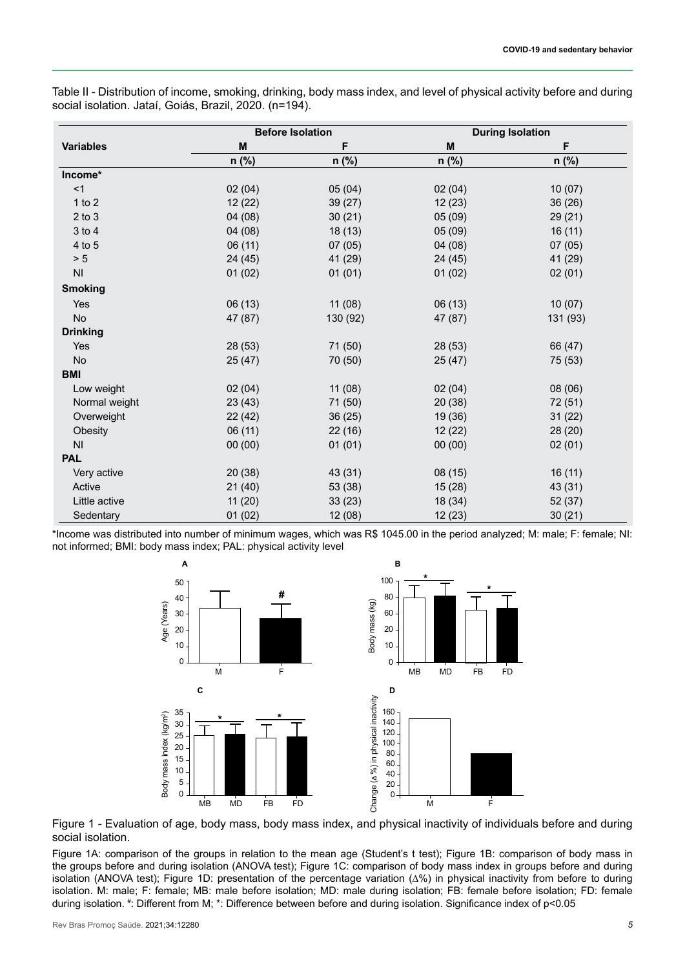Table II - Distribution of income, smoking, drinking, body mass index, and level of physical activity before and during social isolation. Jataí, Goiás, Brazil, 2020. (n=194).

| <b>Variables</b> |         | <b>Before Isolation</b> | <b>During Isolation</b> |          |  |  |
|------------------|---------|-------------------------|-------------------------|----------|--|--|
|                  | M       | F                       | M                       | F        |  |  |
|                  | n (%)   | n (%)                   | $n$ (%)                 | $n$ (%)  |  |  |
| Income*          |         |                         |                         |          |  |  |
| <1               | 02(04)  | 05(04)                  | 02(04)                  | 10(07)   |  |  |
| 1 to $2$         | 12(22)  | 39 (27)                 | 12(23)                  | 36(26)   |  |  |
| $2$ to $3$       | 04(08)  | 30(21)                  | 05(09)                  | 29(21)   |  |  |
| 3 to 4           | 04(08)  | 18(13)                  | 05(09)                  | 16(11)   |  |  |
| 4 to 5           | 06(11)  | 07(05)                  | 04(08)                  | 07(05)   |  |  |
| > 5              | 24 (45) | 41 (29)                 | 24 (45)                 | 41 (29)  |  |  |
| <b>NI</b>        | 01(02)  | 01(01)                  | 01(02)                  | 02(01)   |  |  |
| <b>Smoking</b>   |         |                         |                         |          |  |  |
| Yes              | 06(13)  | 11(08)                  | 06(13)                  | 10(07)   |  |  |
| No               | 47 (87) | 130 (92)                | 47 (87)                 | 131 (93) |  |  |
| <b>Drinking</b>  |         |                         |                         |          |  |  |
| Yes              | 28 (53) | 71 (50)                 | 28(53)                  | 66 (47)  |  |  |
| No               | 25(47)  | 70 (50)                 | 25(47)                  | 75 (53)  |  |  |
| <b>BMI</b>       |         |                         |                         |          |  |  |
| Low weight       | 02(04)  | 11(08)                  | 02(04)                  | 08 (06)  |  |  |
| Normal weight    | 23(43)  | 71 (50)                 | 20(38)                  | 72 (51)  |  |  |
| Overweight       | 22(42)  | 36(25)                  | 19 (36)                 | 31(22)   |  |  |
| Obesity          | 06(11)  | 22(16)                  | 12(22)                  | 28 (20)  |  |  |
| <b>NI</b>        | 00(00)  | 01(01)                  | 00(00)                  | 02(01)   |  |  |
| <b>PAL</b>       |         |                         |                         |          |  |  |
| Very active      | 20(38)  | 43 (31)                 | 08(15)                  | 16(11)   |  |  |
| Active           | 21(40)  | 53 (38)                 | 15(28)                  | 43 (31)  |  |  |
| Little active    | 11(20)  | 33(23)                  | 18 (34)                 | 52 (37)  |  |  |
| Sedentary        | 01(02)  | 12 (08)                 | 12 (23)                 | 30(21)   |  |  |

\*Income was distributed into number of minimum wages, which was R\$ 1045.00 in the period analyzed; M: male; F: female; NI: not informed; BMI: body mass index; PAL: physical activity level



Figure 1 - Evaluation of age, body mass, body mass index, and physical inactivity of individuals before and during social isolation.

Figure 1A: comparison of the groups in relation to the mean age (Student's t test); Figure 1B: comparison of body mass in the groups before and during isolation (ANOVA test); Figure 1C: comparison of body mass index in groups before and during isolation (ANOVA test); Figure 1D: presentation of the percentage variation (∆%) in physical inactivity from before to during isolation. M: male; F: female; MB: male before isolation; MD: male during isolation; FB: female before isolation; FD: female during isolation. # : Different from M; \*: Difference between before and during isolation. Significance index of p<0.05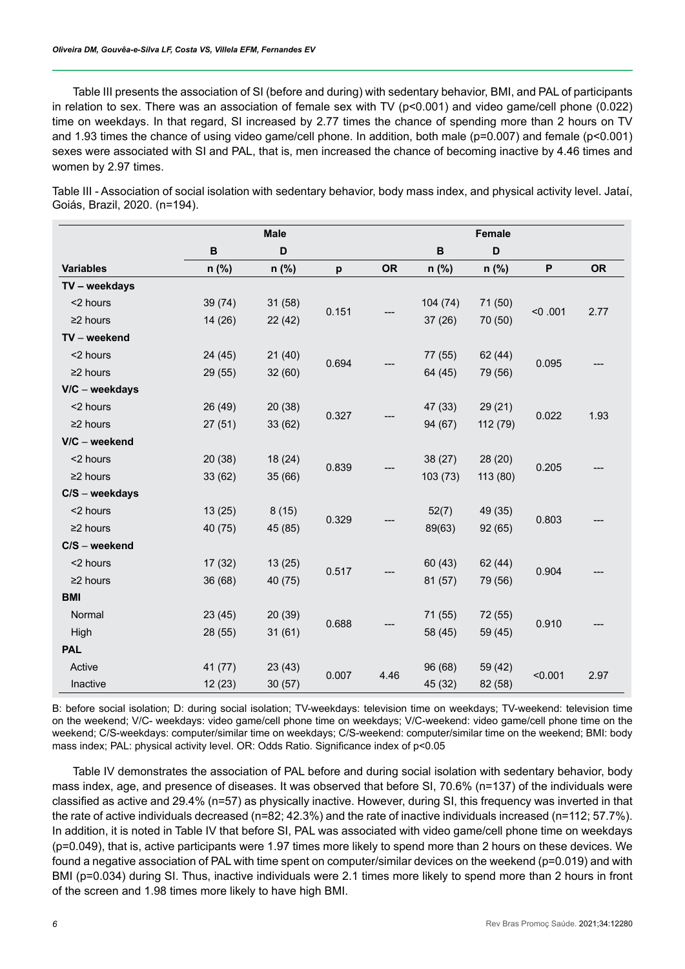Table III presents the association of SI (before and during) with sedentary behavior, BMI, and PAL of participants in relation to sex. There was an association of female sex with TV (p<0.001) and video game/cell phone (0.022) time on weekdays. In that regard, SI increased by 2.77 times the chance of spending more than 2 hours on TV and 1.93 times the chance of using video game/cell phone. In addition, both male (p=0.007) and female (p<0.001) sexes were associated with SI and PAL, that is, men increased the chance of becoming inactive by 4.46 times and women by 2.97 times.

Table III - Association of social isolation with sedentary behavior, body mass index, and physical activity level. Jataí, Goiás, Brazil, 2020. (n=194).

|                  | <b>Male</b> |         |       |           | Female  |             |         |           |  |
|------------------|-------------|---------|-------|-----------|---------|-------------|---------|-----------|--|
|                  | B           | D       |       |           | B       | $\mathbf D$ |         |           |  |
| <b>Variables</b> | $n$ (%)     | n (%)   | p     | <b>OR</b> | n (%)   | $n$ (%)     | P       | <b>OR</b> |  |
| TV - weekdays    |             |         |       |           |         |             |         |           |  |
| <2 hours         | 39 (74)     | 31(58)  | 0.151 | 104 (74)  | 71 (50) |             |         |           |  |
| $\geq$ 2 hours   | 14(26)      | 22(42)  |       |           | 37(26)  | 70 (50)     | < 0.001 | 2.77      |  |
| TV - weekend     |             |         |       |           |         |             |         |           |  |
| <2 hours         | 24(45)      | 21(40)  |       |           | 77 (55) | 62 (44)     |         |           |  |
| $\geq$ 2 hours   | 29 (55)     | 32(60)  | 0.694 |           | 64 (45) | 79 (56)     | 0.095   |           |  |
| V/C - weekdays   |             |         |       |           |         |             |         |           |  |
| <2 hours         | 26 (49)     | 20(38)  |       | 0.327     | 47 (33) | 29(21)      | 0.022   | 1.93      |  |
| $\geq$ 2 hours   | 27(51)      | 33(62)  |       |           | 94 (67) | 112 (79)    |         |           |  |
| $V/C -$ weekend  |             |         |       |           |         |             |         |           |  |
| <2 hours         | 20(38)      | 18(24)  |       |           | 38 (27) | 28 (20)     | 0.205   |           |  |
| $\geq$ 2 hours   | 33(62)      | 35(66)  | 0.839 |           | 103(73) | 113 (80)    |         |           |  |
| $C/S - weekdays$ |             |         |       |           |         |             |         |           |  |
| <2 hours         | 13(25)      | 8(15)   |       | 0.329     | 52(7)   | 49 (35)     | 0.803   |           |  |
| $\geq$ 2 hours   | 40 (75)     | 45 (85) |       |           | 89(63)  | 92 (65)     |         |           |  |
| $C/S - weekend$  |             |         |       |           |         |             |         |           |  |
| <2 hours         | 17(32)      | 13(25)  | 0.517 |           | 60 (43) | 62 (44)     | 0.904   |           |  |
| $\geq$ 2 hours   | 36 (68)     | 40 (75) |       |           | 81 (57) | 79 (56)     |         |           |  |
| <b>BMI</b>       |             |         |       |           |         |             |         |           |  |
| Normal           | 23(45)      | 20(39)  | 0.688 |           |         | 71 (55)     | 72 (55) |           |  |
| High             | 28 (55)     | 31(61)  |       |           | 58 (45) | 59 (45)     | 0.910   |           |  |
| <b>PAL</b>       |             |         |       |           |         |             |         |           |  |
| Active           | 41 (77)     | 23(43)  | 0.007 |           | 96 (68) | 59 (42)     | < 0.001 | 2.97      |  |
| Inactive         | 12(23)      | 30(57)  |       | 4.46      | 45 (32) | 82 (58)     |         |           |  |

B: before social isolation; D: during social isolation; TV-weekdays: television time on weekdays; TV-weekend: television time on the weekend; V/C- weekdays: video game/cell phone time on weekdays; V/C-weekend: video game/cell phone time on the weekend; C/S-weekdays: computer/similar time on weekdays; C/S-weekend: computer/similar time on the weekend; BMI: body mass index; PAL: physical activity level. OR: Odds Ratio. Significance index of p<0.05

Table IV demonstrates the association of PAL before and during social isolation with sedentary behavior, body mass index, age, and presence of diseases. It was observed that before SI, 70.6% (n=137) of the individuals were classified as active and 29.4% (n=57) as physically inactive. However, during SI, this frequency was inverted in that the rate of active individuals decreased (n=82; 42.3%) and the rate of inactive individuals increased (n=112; 57.7%). In addition, it is noted in Table IV that before SI, PAL was associated with video game/cell phone time on weekdays (p=0.049), that is, active participants were 1.97 times more likely to spend more than 2 hours on these devices. We found a negative association of PAL with time spent on computer/similar devices on the weekend (p=0.019) and with BMI (p=0.034) during SI. Thus, inactive individuals were 2.1 times more likely to spend more than 2 hours in front of the screen and 1.98 times more likely to have high BMI.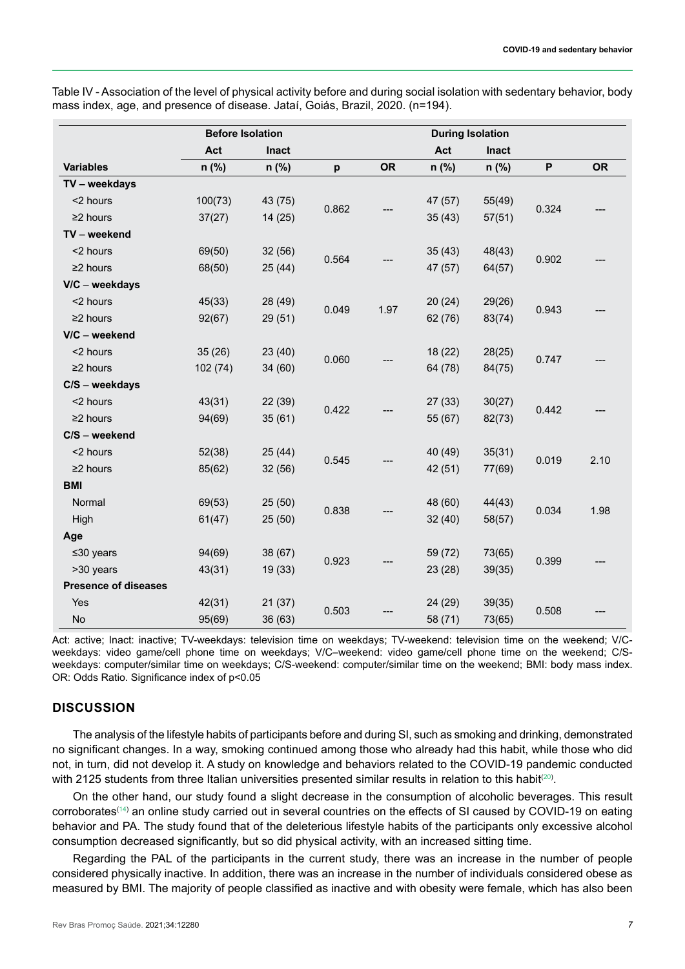| <b>Before Isolation</b>     |          |              |       |           | <b>During Isolation</b> |              |                           |           |
|-----------------------------|----------|--------------|-------|-----------|-------------------------|--------------|---------------------------|-----------|
|                             | Act      | <b>Inact</b> |       |           | Act                     | <b>Inact</b> |                           |           |
| <b>Variables</b>            | n (%)    | n (%)        | p     | <b>OR</b> | n (%)                   | $n$ (%)      | $\boldsymbol{\mathsf{P}}$ | <b>OR</b> |
| TV - weekdays               |          |              |       |           |                         |              |                           |           |
| <2 hours                    | 100(73)  | 43 (75)      |       |           | 47 (57)                 | 55(49)       |                           |           |
| $\geq$ 2 hours              | 37(27)   | 14(25)       | 0.862 | 35(43)    | 57(51)                  | 0.324        |                           |           |
| TV - weekend                |          |              |       |           |                         |              |                           |           |
| <2 hours                    | 69(50)   | 32(56)       |       |           | 35(43)                  | 48(43)       |                           |           |
| $\geq$ 2 hours              | 68(50)   | 25(44)       | 0.564 |           | 47 (57)                 | 64(57)       | 0.902                     |           |
| $V/C - weekdays$            |          |              |       |           |                         |              |                           |           |
| <2 hours                    | 45(33)   | 28 (49)      |       |           | 20(24)                  | 29(26)       |                           |           |
| $\geq$ 2 hours              | 92(67)   | 29(51)       | 0.049 | 1.97      | 62 (76)                 | 83(74)       | 0.943                     |           |
| $V/C -$ weekend             |          |              |       |           |                         |              |                           |           |
| <2 hours                    | 35(26)   | 23(40)       |       |           | 18(22)                  | 28(25)       | 0.747                     |           |
| $\geq$ 2 hours              | 102 (74) | 34(60)       | 0.060 |           | 64 (78)                 | 84(75)       |                           |           |
| $C/S - weekdays$            |          |              |       |           |                         |              |                           |           |
| <2 hours                    | 43(31)   | 22(39)       |       |           | 27(33)                  | 30(27)       | 0.442                     |           |
| $\geq$ 2 hours              | 94(69)   | 35(61)       | 0.422 |           | 55 (67)                 | 82(73)       |                           |           |
| $C/S - weekend$             |          |              |       |           |                         |              |                           |           |
| <2 hours                    | 52(38)   | 25(44)       |       |           | 40 (49)                 | 35(31)       | 0.019                     | 2.10      |
| $\geq$ 2 hours              | 85(62)   | 32(56)       | 0.545 |           | 42 (51)                 | 77(69)       |                           |           |
| <b>BMI</b>                  |          |              |       |           |                         |              |                           |           |
| Normal                      | 69(53)   | 25(50)       | 0.838 |           | 48 (60)                 | 44(43)       |                           |           |
| High                        | 61(47)   | 25(50)       |       |           |                         | 32(40)       | 58(57)                    | 0.034     |
| Age                         |          |              |       |           |                         |              |                           |           |
| $≤30$ years                 | 94(69)   | 38(67)       | 0.923 |           | 59 (72)                 | 73(65)       | 0.399                     |           |
| >30 years                   | 43(31)   | 19(33)       |       |           | 23(28)                  | 39(35)       |                           |           |
| <b>Presence of diseases</b> |          |              |       |           |                         |              |                           |           |
| Yes                         | 42(31)   | 21(37)       | 0.503 |           | 24 (29)                 | 39(35)       | 0.508                     |           |
| No                          | 95(69)   | 36 (63)      |       |           | 58 (71)                 | 73(65)       |                           |           |

Table IV - Association of the level of physical activity before and during social isolation with sedentary behavior, body mass index, age, and presence of disease. Jataí, Goiás, Brazil, 2020. (n=194).

Act: active; Inact: inactive; TV-weekdays: television time on weekdays; TV-weekend: television time on the weekend; V/Cweekdays: video game/cell phone time on weekdays; V/C–weekend: video game/cell phone time on the weekend; C/Sweekdays: computer/similar time on weekdays; C/S-weekend: computer/similar time on the weekend; BMI: body mass index. OR: Odds Ratio. Significance index of p<0.05

# **DISCUSSION**

The analysis of the lifestyle habits of participants before and during SI, such as smoking and drinking, demonstrated no significant changes. In a way, smoking continued among those who already had this habit, while those who did not, in turn, did not develop it. A study on knowledge and behaviors related to the COVID-19 pandemic conducted with 2125 students from three Italian universities presented similar results in relation to this habit $^{(20)}$  $^{(20)}$  $^{(20)}$ .

On the other hand, our study found a slight decrease in the consumption of alcoholic beverages. This result  $\rm corroborates^{(14)}$  $\rm corroborates^{(14)}$  $\rm corroborates^{(14)}$  an online study carried out in several countries on the effects of SI caused by COVID-19 on eating behavior and PA. The study found that of the deleterious lifestyle habits of the participants only excessive alcohol consumption decreased significantly, but so did physical activity, with an increased sitting time.

Regarding the PAL of the participants in the current study, there was an increase in the number of people considered physically inactive. In addition, there was an increase in the number of individuals considered obese as measured by BMI. The majority of people classified as inactive and with obesity were female, which has also been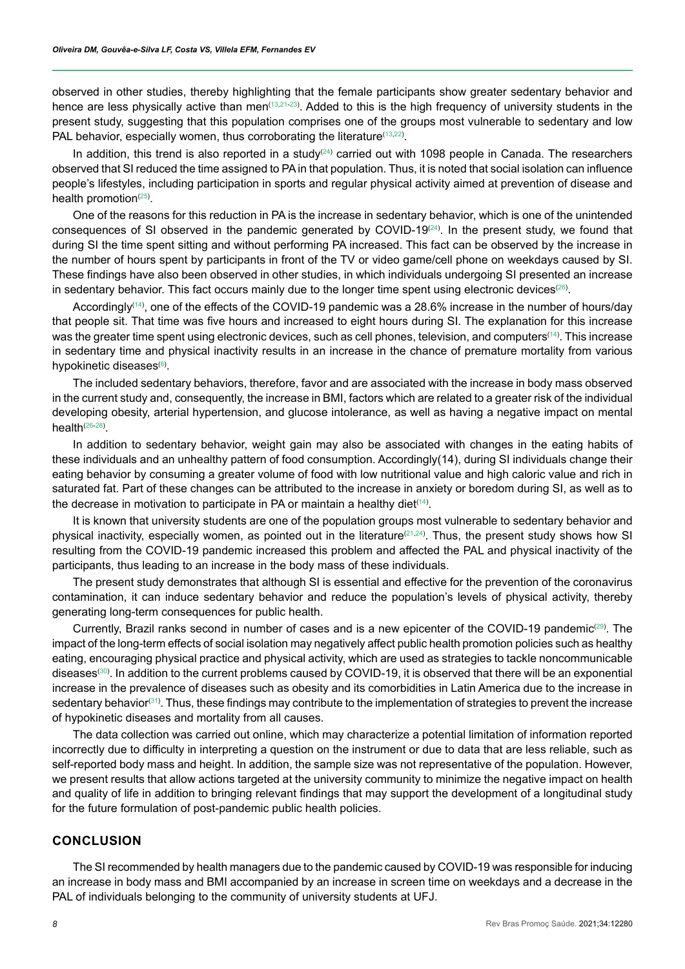observed in other studies, thereby highlighting that the female participants show greater sedentary behavior and hence are less physically active than men $(13,21-23)$  $(13,21-23)$  $(13,21-23)$  $(13,21-23)$  $(13,21-23)$ . Added to this is the high frequency of university students in the present study, suggesting that this population comprises one of the groups most vulnerable to sedentary and low PAL behavior, especially women, thus corroborating the literature<sup>([13](#page-9-1),[22](#page-9-11))</sup>.

In addition, this trend is also reported in a study<sup>([24](#page-9-12))</sup> carried out with 1098 people in Canada. The researchers observed that SI reduced the time assigned to PA in that population. Thus, it is noted that social isolation can influence people's lifestyles, including participation in sports and regular physical activity aimed at prevention of disease and health promotion<sup>([25](#page-9-13))</sup>.

One of the reasons for this reduction in PA is the increase in sedentary behavior, which is one of the unintended consequences of SI observed in the pandemic generated by COVID-19 $^{(24)}$  $^{(24)}$  $^{(24)}$ . In the present study, we found that during SI the time spent sitting and without performing PA increased. This fact can be observed by the increase in the number of hours spent by participants in front of the TV or video game/cell phone on weekdays caused by SI. These findings have also been observed in other studies, in which individuals undergoing SI presented an increase in sedentary behavior. This fact occurs mainly due to the longer time spent using electronic devices $^{(26)}$  $^{(26)}$  $^{(26)}$ .

Accordingly([14](#page-9-2)) , one of the effects of the COVID-19 pandemic was a 28.6% increase in the number of hours/day that people sit. That time was five hours and increased to eight hours during SI. The explanation for this increase was the greater time spent using electronic devices, such as cell phones, television, and computers<sup>([14](#page-9-2))</sup>. This increase in sedentary time and physical inactivity results in an increase in the chance of premature mortality from various hypokinetic diseases<sup>([8\)](#page-8-7)</sup>.

The included sedentary behaviors, therefore, favor and are associated with the increase in body mass observed in the current study and, consequently, the increase in BMI, factors which are related to a greater risk of the individual developing obesity, arterial hypertension, and glucose intolerance, as well as having a negative impact on mental health([26](#page-9-14)-[28](#page-10-0)) .

In addition to sedentary behavior, weight gain may also be associated with changes in the eating habits of these individuals and an unhealthy pattern of food consumption. Accordingly(14), during SI individuals change their eating behavior by consuming a greater volume of food with low nutritional value and high caloric value and rich in saturated fat. Part of these changes can be attributed to the increase in anxiety or boredom during SI, as well as to the decrease in motivation to participate in PA or maintain a healthy diet $^{\text{\tiny{(14)}}}.$  $^{\text{\tiny{(14)}}}.$  $^{\text{\tiny{(14)}}}.$ 

It is known that university students are one of the population groups most vulnerable to sedentary behavior and physical inactivity, especially women, as pointed out in the literature<sup>[\(21,](#page-9-9)[24\)](#page-9-12)</sup>. Thus, the present study shows how SI resulting from the COVID-19 pandemic increased this problem and affected the PAL and physical inactivity of the participants, thus leading to an increase in the body mass of these individuals.

The present study demonstrates that although SI is essential and effective for the prevention of the coronavirus contamination, it can induce sedentary behavior and reduce the population's levels of physical activity, thereby generating long-term consequences for public health.

Currently, Brazil ranks second in number of cases and is a new epicenter of the COVID-19 pandemic $^{\text{(29)}}$  $^{\text{(29)}}$  $^{\text{(29)}}$ . The impact of the long-term effects of social isolation may negatively affect public health promotion policies such as healthy eating, encouraging physical practice and physical activity, which are used as strategies to tackle noncommunicable diseases $^{\text{\tiny (30)}}$  $^{\text{\tiny (30)}}$  $^{\text{\tiny (30)}}$ . In addition to the current problems caused by COVID-19, it is observed that there will be an exponential increase in the prevalence of diseases such as obesity and its comorbidities in Latin America due to the increase in sedentary behavior $^{(31)}$  $^{(31)}$  $^{(31)}$ . Thus, these findings may contribute to the implementation of strategies to prevent the increase of hypokinetic diseases and mortality from all causes.

The data collection was carried out online, which may characterize a potential limitation of information reported incorrectly due to difficulty in interpreting a question on the instrument or due to data that are less reliable, such as self-reported body mass and height. In addition, the sample size was not representative of the population. However, we present results that allow actions targeted at the university community to minimize the negative impact on health and quality of life in addition to bringing relevant findings that may support the development of a longitudinal study for the future formulation of post-pandemic public health policies.

### **CONCLUSION**

The SI recommended by health managers due to the pandemic caused by COVID-19 was responsible for inducing an increase in body mass and BMI accompanied by an increase in screen time on weekdays and a decrease in the PAL of individuals belonging to the community of university students at UFJ.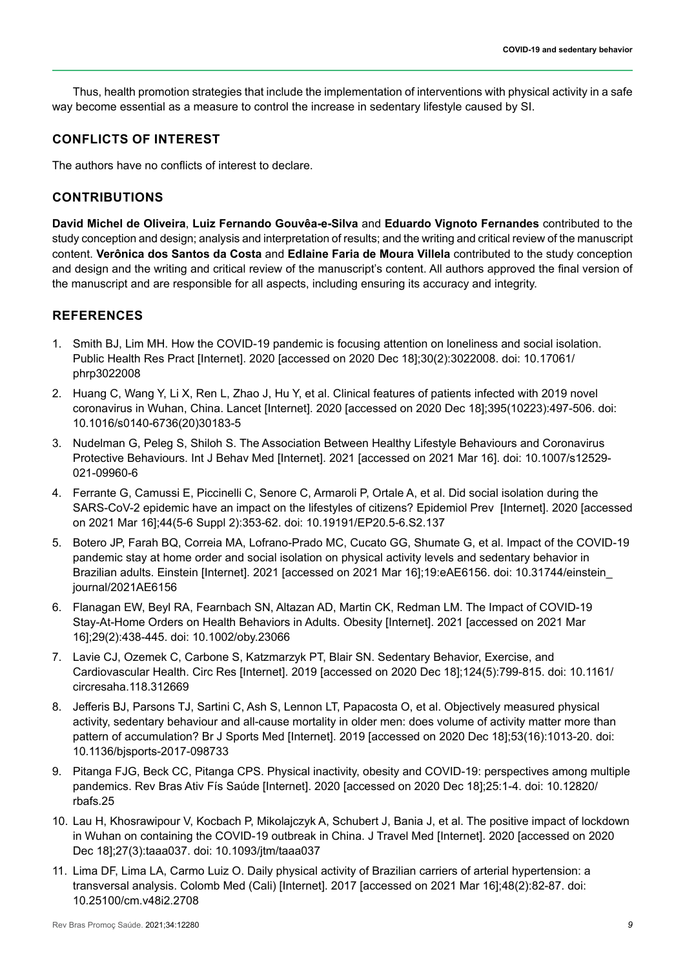Thus, health promotion strategies that include the implementation of interventions with physical activity in a safe way become essential as a measure to control the increase in sedentary lifestyle caused by SI.

# **CONFLICTS OF INTEREST**

The authors have no conflicts of interest to declare.

### **CONTRIBUTIONS**

**David Michel de Oliveira**, **Luiz Fernando Gouvêa-e-Silva** and **Eduardo Vignoto Fernandes** contributed to the study conception and design; analysis and interpretation of results; and the writing and critical review of the manuscript content. **Verônica dos Santos da Costa** and **Edlaine Faria de Moura Villela** contributed to the study conception and design and the writing and critical review of the manuscript's content. All authors approved the final version of the manuscript and are responsible for all aspects, including ensuring its accuracy and integrity.

# **REFERENCES**

- <span id="page-8-0"></span>1. Smith BJ, Lim MH. How the COVID-19 pandemic is focusing attention on loneliness and social isolation. Public Health Res Pract [Internet]. 2020 [accessed on 2020 Dec 18];30(2):3022008. doi: 10.17061/ phrp3022008
- <span id="page-8-1"></span>2. Huang C, Wang Y, Li X, Ren L, Zhao J, Hu Y, et al. Clinical features of patients infected with 2019 novel coronavirus in Wuhan, China. Lancet [Internet]. 2020 [accessed on 2020 Dec 18];395(10223):497-506. doi: 10.1016/s0140-6736(20)30183-5
- <span id="page-8-2"></span>3. Nudelman G, Peleg S, Shiloh S. The Association Between Healthy Lifestyle Behaviours and Coronavirus Protective Behaviours. Int J Behav Med [Internet]. 2021 [accessed on 2021 Mar 16]. doi: 10.1007/s12529- 021-09960-6
- <span id="page-8-3"></span>4. Ferrante G, Camussi E, Piccinelli C, Senore C, Armaroli P, Ortale A, et al. Did social isolation during the SARS-CoV-2 epidemic have an impact on the lifestyles of citizens? Epidemiol Prev [Internet]. 2020 [accessed on 2021 Mar 16];44(5-6 Suppl 2):353-62. doi: 10.19191/EP20.5-6.S2.137
- <span id="page-8-5"></span>5. Botero JP, Farah BQ, Correia MA, Lofrano-Prado MC, Cucato GG, Shumate G, et al. Impact of the COVID-19 pandemic stay at home order and social isolation on physical activity levels and sedentary behavior in Brazilian adults. Einstein [Internet]. 2021 [accessed on 2021 Mar 16];19:eAE6156. doi: 10.31744/einstein journal/2021AE6156
- <span id="page-8-4"></span>6. Flanagan EW, Beyl RA, Fearnbach SN, Altazan AD, Martin CK, Redman LM. The Impact of COVID-19 Stay-At-Home Orders on Health Behaviors in Adults. Obesity [Internet]. 2021 [accessed on 2021 Mar 16];29(2):438-445. doi: 10.1002/oby.23066
- <span id="page-8-6"></span>7. Lavie CJ, Ozemek C, Carbone S, Katzmarzyk PT, Blair SN. Sedentary Behavior, Exercise, and Cardiovascular Health. Circ Res [Internet]. 2019 [accessed on 2020 Dec 18];124(5):799-815. doi: 10.1161/ circresaha.118.312669
- <span id="page-8-7"></span>8. Jefferis BJ, Parsons TJ, Sartini C, Ash S, Lennon LT, Papacosta O, et al. Objectively measured physical activity, sedentary behaviour and all-cause mortality in older men: does volume of activity matter more than pattern of accumulation? Br J Sports Med [Internet]. 2019 [accessed on 2020 Dec 18];53(16):1013-20. doi: 10.1136/bjsports-2017-098733
- <span id="page-8-8"></span>9. Pitanga FJG, Beck CC, Pitanga CPS. Physical inactivity, obesity and COVID-19: perspectives among multiple pandemics. Rev Bras Ativ Fís Saúde [Internet]. 2020 [accessed on 2020 Dec 18];25:1-4. doi: 10.12820/ rbafs.25
- <span id="page-8-9"></span>10. Lau H, Khosrawipour V, Kocbach P, Mikolajczyk A, Schubert J, Bania J, et al. The positive impact of lockdown in Wuhan on containing the COVID-19 outbreak in China. J Travel Med [Internet]. 2020 [accessed on 2020 Dec 18];27(3):taaa037. doi: 10.1093/jtm/taaa037
- <span id="page-8-10"></span>11. Lima DF, Lima LA, Carmo Luiz O. Daily physical activity of Brazilian carriers of arterial hypertension: a transversal analysis. Colomb Med (Cali) [Internet]. 2017 [accessed on 2021 Mar 16];48(2):82-87. doi: 10.25100/cm.v48i2.2708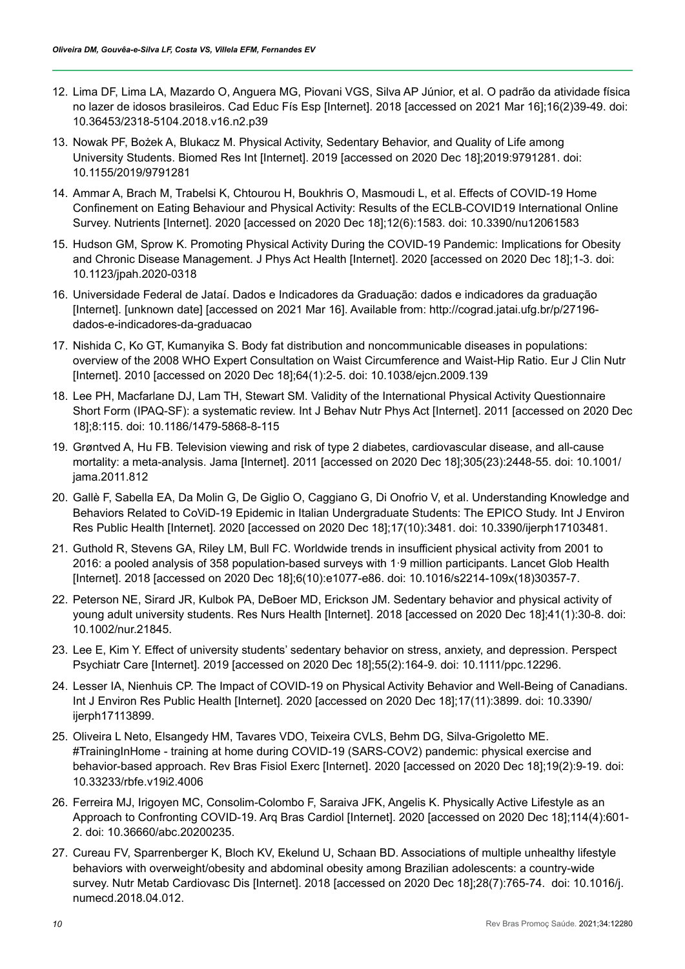- <span id="page-9-0"></span>12. Lima DF, Lima LA, Mazardo O, Anguera MG, Piovani VGS, Silva AP Júnior, et al. O padrão da atividade física no lazer de idosos brasileiros. Cad Educ Fís Esp [Internet]. 2018 [accessed on 2021 Mar 16];16(2)39-49. doi: 10.36453/2318-5104.2018.v16.n2.p39
- <span id="page-9-1"></span>13. Nowak PF, Bożek A, Blukacz M. Physical Activity, Sedentary Behavior, and Quality of Life among University Students. Biomed Res Int [Internet]. 2019 [accessed on 2020 Dec 18];2019:9791281. doi: 10.1155/2019/9791281
- <span id="page-9-2"></span>14. Ammar A, Brach M, Trabelsi K, Chtourou H, Boukhris O, Masmoudi L, et al. Effects of COVID-19 Home Confinement on Eating Behaviour and Physical Activity: Results of the ECLB-COVID19 International Online Survey. Nutrients [Internet]. 2020 [accessed on 2020 Dec 18];12(6):1583. doi: 10.3390/nu12061583
- <span id="page-9-3"></span>15. Hudson GM, Sprow K. Promoting Physical Activity During the COVID-19 Pandemic: Implications for Obesity and Chronic Disease Management. J Phys Act Health [Internet]. 2020 [accessed on 2020 Dec 18];1-3. doi: 10.1123/jpah.2020-0318
- <span id="page-9-4"></span>16. Universidade Federal de Jataí. Dados e Indicadores da Graduação: dados e indicadores da graduação [Internet]. [unknown date] [accessed on 2021 Mar 16]. Available from: http://cograd.jatai.ufg.br/p/27196 dados-e-indicadores-da-graduacao
- <span id="page-9-5"></span>17. Nishida C, Ko GT, Kumanyika S. Body fat distribution and noncommunicable diseases in populations: overview of the 2008 WHO Expert Consultation on Waist Circumference and Waist-Hip Ratio. Eur J Clin Nutr [Internet]. 2010 [accessed on 2020 Dec 18];64(1):2-5. doi: 10.1038/ejcn.2009.139
- <span id="page-9-6"></span>18. Lee PH, Macfarlane DJ, Lam TH, Stewart SM. Validity of the International Physical Activity Questionnaire Short Form (IPAQ-SF): a systematic review. Int J Behav Nutr Phys Act [Internet]. 2011 [accessed on 2020 Dec 18];8:115. doi: 10.1186/1479-5868-8-115
- <span id="page-9-7"></span>19. Grøntved A, Hu FB. Television viewing and risk of type 2 diabetes, cardiovascular disease, and all-cause mortality: a meta-analysis. Jama [Internet]. 2011 [accessed on 2020 Dec 18];305(23):2448-55. doi: 10.1001/ jama.2011.812
- <span id="page-9-8"></span>20. Gallè F, Sabella EA, Da Molin G, De Giglio O, Caggiano G, Di Onofrio V, et al. Understanding Knowledge and Behaviors Related to CoViD-19 Epidemic in Italian Undergraduate Students: The EPICO Study. Int J Environ Res Public Health [Internet]. 2020 [accessed on 2020 Dec 18];17(10):3481. doi: 10.3390/ijerph17103481.
- <span id="page-9-9"></span>21. Guthold R, Stevens GA, Riley LM, Bull FC. Worldwide trends in insufficient physical activity from 2001 to 2016: a pooled analysis of 358 population-based surveys with 1·9 million participants. Lancet Glob Health [Internet]. 2018 [accessed on 2020 Dec 18];6(10):e1077-e86. doi: 10.1016/s2214-109x(18)30357-7.
- <span id="page-9-11"></span>22. Peterson NE, Sirard JR, Kulbok PA, DeBoer MD, Erickson JM. Sedentary behavior and physical activity of young adult university students. Res Nurs Health [Internet]. 2018 [accessed on 2020 Dec 18];41(1):30-8. doi: 10.1002/nur.21845.
- <span id="page-9-10"></span>23. Lee E, Kim Y. Effect of university students' sedentary behavior on stress, anxiety, and depression. Perspect Psychiatr Care [Internet]. 2019 [accessed on 2020 Dec 18];55(2):164-9. doi: 10.1111/ppc.12296.
- <span id="page-9-12"></span>24. Lesser IA, Nienhuis CP. The Impact of COVID-19 on Physical Activity Behavior and Well-Being of Canadians. Int J Environ Res Public Health [Internet]. 2020 [accessed on 2020 Dec 18];17(11):3899. doi: 10.3390/ ijerph17113899.
- <span id="page-9-13"></span>25. Oliveira L Neto, Elsangedy HM, Tavares VDO, Teixeira CVLS, Behm DG, Silva-Grigoletto ME. #TrainingInHome - training at home during COVID-19 (SARS-COV2) pandemic: physical exercise and behavior-based approach. Rev Bras Fisiol Exerc [Internet]. 2020 [accessed on 2020 Dec 18];19(2):9-19. doi: 10.33233/rbfe.v19i2.4006
- <span id="page-9-14"></span>26. Ferreira MJ, Irigoyen MC, Consolim-Colombo F, Saraiva JFK, Angelis K. Physically Active Lifestyle as an Approach to Confronting COVID-19. Arq Bras Cardiol [Internet]. 2020 [accessed on 2020 Dec 18];114(4):601- 2. doi: 10.36660/abc.20200235.
- 27. Cureau FV, Sparrenberger K, Bloch KV, Ekelund U, Schaan BD. Associations of multiple unhealthy lifestyle behaviors with overweight/obesity and abdominal obesity among Brazilian adolescents: a country-wide survey. Nutr Metab Cardiovasc Dis [Internet]. 2018 [accessed on 2020 Dec 18];28(7):765-74. doi: 10.1016/j. numecd.2018.04.012.